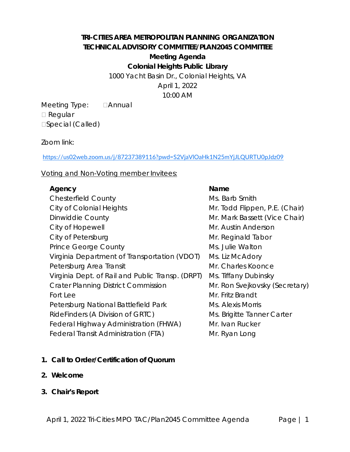# *TRI-CITIES AREA METROPOLITAN PLANNING ORGANIZATION TECHNICAL ADVISORY COMMITTEE/PLAN2045 COMMITTEE Meeting Agenda*

**Colonial Heights Public Library**

1000 Yacht Basin Dr., Colonial Heights, VA April 1, 2022 10:00 AM

Meeting Type: **Annual** □ Regular □Special (Called)

Zoom link:

<https://us02web.zoom.us/j/87237389116?pwd=S2VjaVlOaHk1N25mYjJLQURTU0pJdz09>

Voting and Non-Voting member Invitees:

### **Agency Name**

Chesterfield County **Ms. Barb Smith** City of Colonial Heights Mr. Todd Flippen, P.E. (Chair) Dinwiddie County **Mr. Mark Bassett (Vice Chair)** Mr. Mark Bassett (Vice Chair) City of Hopewell **City of Hopewell** City of Petersburg and Tabor City of Petersburg and Tabor Mr. Reginald Tabor Prince George County **Ms.** Julie Walton Virginia Department of Transportation (VDOT) Ms. Liz McAdory Petersburg Area Transit Mr. Charles Koonce Virginia Dept. of Rail and Public Transp. (DRPT) Ms. Tiffany Dubinsky Crater Planning District Commission Mr. Ron Svejkovsky (Secretary) Fort Lee Mr. Fritz Brandt Petersburg National Battlefield Park Ms. Alexis Morris RideFinders (A Division of GRTC) Federal Highway Administration (FHWA) Federal Transit Administration (FTA)

- Ms. Brigitte Tanner Carter Mr. Ivan Rucker Mr. Ryan Long
- **1. Call to Order/Certification of Quorum**
- **2. Welcome**
- **3. Chair's Report**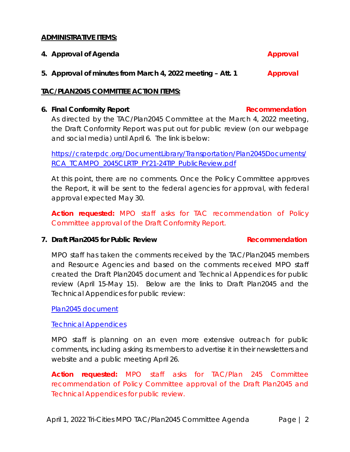#### **ADMINISTRATIVE ITEMS:**

**4.** Approval of Agenda **Approval** 

**5. Approval of minutes from March 4, 2022 meeting –** *Att. 1* **Approval**

#### **TAC/PLAN2045 COMMITTEE ACTION ITEMS:**

#### **6.** Final Conformity Report **Recommendation Recommendation**

As directed by the TAC/Plan2045 Committee at the March 4, 2022 meeting, the Draft Conformity Report was put out for public review (on our webpage and social media) until April 6. The link is below:

[https://craterpdc.org/DocumentLibrary/Transportation/Plan2045Documents/](https://craterpdc.org/DocumentLibrary/Transportation/Plan2045Documents/RCA_TCAMPO_2045CLRTP_FY21-24TIP_PublicReview.pdf) [RCA\\_TCAMPO\\_2045CLRTP\\_FY21-24TIP\\_PublicReview.pdf](https://craterpdc.org/DocumentLibrary/Transportation/Plan2045Documents/RCA_TCAMPO_2045CLRTP_FY21-24TIP_PublicReview.pdf)

At this point, there are no comments. Once the Policy Committee approves the Report, it will be sent to the federal agencies for approval, with federal approval expected May 30.

*Action requested: MPO staff asks for TAC recommendation of Policy Committee approval of the Draft Conformity Report.*

### **7.** *Draft Plan2045* **for Public Review Recommendation**

MPO staff has taken the comments received by the TAC/Plan2045 members and Resource Agencies and based on the comments received MPO staff created the *Draft Plan2045* document and Technical Appendices for public review (April 15-May 15). Below are the links to *Draft Plan2045* and the Technical Appendices for public review:

[Plan2045 document](https://craterpdc.org/DocumentLibrary/Transportation/Plan2045Documents/Draft_Plan2045_PublicReview/Draft_Plan2045_03252022.pdf)

[Technical Appendices](https://craterpdc.org/DocumentLibrary/Transportation/Plan2045Documents/Draft_Plan2045_PublicReview/DraftTechnicalAppendices_Set03252022.pdf) 

MPO staff is planning on an even more extensive outreach for public comments, including asking its members to advertise it in their newsletters and website and a public meeting April 26.

*Action requested: MPO staff asks for TAC/Plan 245 Committee recommendation of Policy Committee approval of the Draft Plan2045 and Technical Appendices for public review.*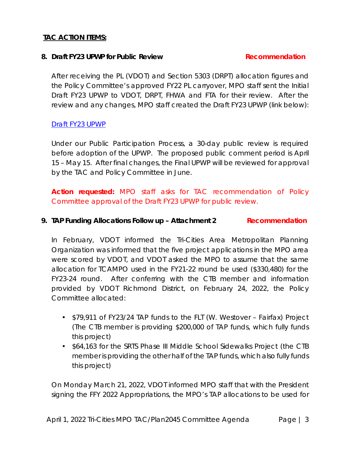### **TAC ACTION ITEMS:**

#### **8. Draft FY23 UPWP for Public Review Recommendation**

After receiving the PL (VDOT) and Section 5303 (DRPT) allocation figures and the Policy Committee's approved FY22 PL carryover, MPO staff sent the Initial Draft FY23 UPWP to VDOT, DRPT, FHWA and FTA for their review. After the review and any changes, MPO staff created the Draft FY23 UPWP (link below):

### [Draft FY23 UPWP](https://craterpdc.org/DocumentLibrary/Transportation/Documents/03182022_DraftTCAMPO_FY23_UPWP_edits.pdf)

Under our Public Participation Process, a 30-day public review is required before adoption of the UPWP. The proposed public comment period is April 15 – May 15. After final changes, the Final UPWP will be reviewed for approval by the TAC and Policy Committee in June.

*Action requested: MPO staff asks for TAC recommendation of Policy Committee approval of the Draft FY23 UPWP for public review.*

## **9. TAP Funding Allocations Follow up – Attachment 2 Recommendation**

In February, VDOT informed the Tri-Cities Area Metropolitan Planning Organization was informed that the five project applications in the MPO area were scored by VDOT, and VDOT asked the MPO to assume that the same allocation for TCAMPO used in the FY21-22 round be used (\$330,480) for the FY23-24 round. After conferring with the CTB member and information provided by VDOT Richmond District, on February 24, 2022, the Policy Committee allocated:

- \$79,911 of FY23/24 TAP funds to the FLT (W. Westover Fairfax) Project (The CTB member is providing \$200,000 of TAP funds, which fully funds this project)
- \$64,163 for the SRTS Phase III Middle School Sidewalks Project (the CTB member is providing the other half of the TAP funds, which also fully funds this project)

On Monday March 21, 2022, VDOT informed MPO staff that with the President signing the FFY 2022 Appropriations, the MPO's TAP allocations to be used for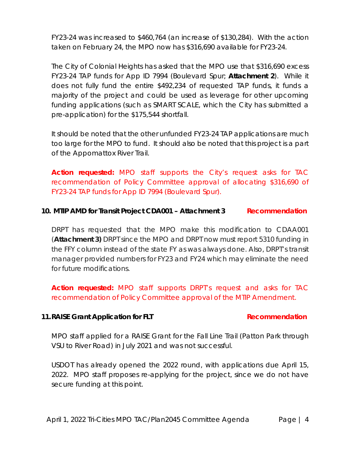FY23-24 was increased to \$460,764 (an increase of \$130,284). With the action taken on February 24, the MPO now has \$316,690 available for FY23-24.

The City of Colonial Heights has asked that the MPO use that \$316,690 excess FY23-24 TAP funds for App ID 7994 (Boulevard Spur; **Attachment 2**). While it does not fully fund the entire \$492,234 of requested TAP funds, it funds a majority of the project and could be used as leverage for other upcoming funding applications (such as SMART SCALE, which the City has submitted a pre-application) for the \$175,544 shortfall.

It should be noted that the other unfunded FY23-24 TAP applications are much too large for the MPO to fund. It should also be noted that this project is a part of the Appomattox River Trail.

*Action requested: MPO staff supports the City's request asks for TAC recommendation of Policy Committee approval of allocating \$316,690 of FY23-24 TAP funds for App ID 7994 (Boulevard Spur).*

### **10. MTIP AMD for Transit Project CDA001 – Attachment 3 Recommendation**

DRPT has requested that the MPO make this modification to CDAA001 (**Attachment 3)** DRPT since the MPO and DRPT now must report 5310 funding in the FFY column instead of the state FY as was always done. Also, DRPT's transit manager provided numbers for FY23 and FY24 which may eliminate the need for future modifications.

*Action requested: MPO staff supports DRPT's request and asks for TAC recommendation of Policy Committee approval of the MTIP Amendment.*

### **11.RAISE Grant Application for FLT Recommendation**

MPO staff applied for a RAISE Grant for the Fall Line Trail (Patton Park through VSU to River Road) in July 2021 and was not successful.

USDOT has already opened the 2022 round, with applications due April 15, 2022. MPO staff proposes re-applying for the project, since we do not have secure funding at this point.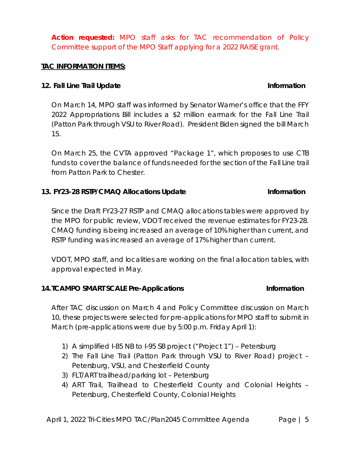*Action requested: MPO staff asks for TAC recommendation of Policy Committee support of the MPO Staff applying for a 2022 RAISE grant.*

### **TAC INFORMATION ITEMS:**

# **12.** Fall Line Trail Update **Information**

On March 14, MPO staff was informed by Senator Warner's office that the FFY 2022 Appropriations Bill includes a \$2 million earmark for the Fall Line Trail (Patton Park through VSU to River Road). President Biden signed the bill March 15.

On March 25, the CVTA approved "Package 1", which proposes to use CTB funds to cover the balance of funds needed for the section of the Fall Line trail from Patton Park to Chester.

### **13. FY23-28 RSTP/CMAQ Allocations Update Information**

Since the Draft FY23-27 RSTP and CMAQ allocations tables were approved by the MPO for public review, VDOT received the revenue estimates for FY23-28. CMAQ funding is being increased an average of 10% higher than current, and RSTP funding was increased an average of 17% higher than current.

VDOT, MPO staff, and localities are working on the final allocation tables, with approval expected in May.

### **14.TCAMPO SMART SCALE Pre-Applications Information**

After TAC discussion on March 4 and Policy Committee discussion on March 10, these projects were selected for pre-applications for MPO staff to submit in March (pre-applications were due by 5:00 p.m. Friday April 1):

- 1) A simplified I-85 NB to I-95 SB project ("Project 1") Petersburg
- 2) The Fall Line Trail (Patton Park through VSU to River Road) project Petersburg, VSU, and Chesterfield County
- 3) FLT/ART trailhead/parking lot Petersburg
- 4) ART Trail, Trailhead to Chesterfield County and Colonial Heights Petersburg, Chesterfield County, Colonial Heights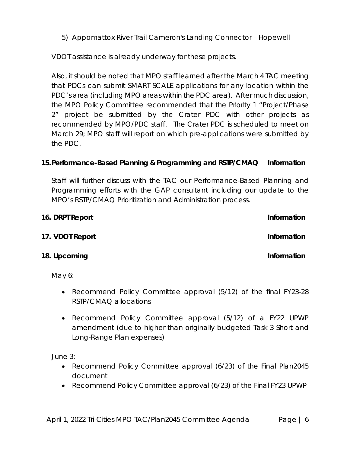5) Appomattox River Trail Cameron's Landing Connector – Hopewell

VDOT assistance is already underway for these projects.

Also, it should be noted that MPO staff learned after the March 4 TAC meeting that PDCs can submit SMART SCALE applications for any location within the PDC's area (including MPO areas within the PDC area). After much discussion, the MPO Policy Committee recommended that the Priority 1 "Project/Phase 2" project be submitted by the Crater PDC with other projects as recommended by MPO/PDC staff. The Crater PDC is scheduled to meet on March 29; MPO staff will report on which pre-applications were submitted by the PDC.

# **15.Performance-Based Planning & Programming and RSTP/CMAQ Information**

Staff will further discuss with the TAC our Performance-Based Planning and Programming efforts with the GAP consultant including our update to the MPO's RSTP/CMAQ Prioritization and Administration process.

| 16. DRPT Report | Information |
|-----------------|-------------|
| 17. VDOT Report | Information |
| 18. Upcoming    | Information |
| May $6:$        |             |

- Recommend Policy Committee approval (5/12) of the final FY23-28 RSTP/CMAQ allocations
- Recommend Policy Committee approval (5/12) of a FY22 UPWP amendment (due to higher than originally budgeted Task 3 Short and Long-Range Plan expenses)

June 3:

- Recommend Policy Committee approval (6/23) of the Final *Plan2045*  document
- Recommend Policy Committee approval (6/23) of the Final FY23 UPWP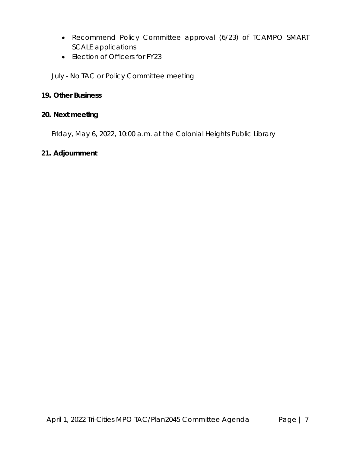- Recommend Policy Committee approval (6/23) of TCAMPO SMART SCALE applications
- Election of Officers for FY23

*July - No TAC or Policy Committee meeting*

### **19. Other Business**

# **20. Next meeting**

Friday, May 6, 2022, 10:00 a.m. at the Colonial Heights Public Library

### **21. Adjournment**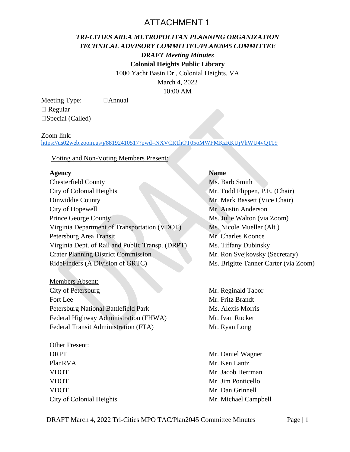# ATTACHMENT 1

# *TRI-CITIES AREA METROPOLITAN PLANNING ORGANIZATION TECHNICAL ADVISORY COMMITTEE/PLAN2045 COMMITTEE DRAFT Meeting Minutes*

**Colonial Heights Public Library**

1000 Yacht Basin Dr., Colonial Heights, VA

March 4, 2022 10:00 AM

Meeting Type: **Annual**  Regular □Special (Called)

#### Zoom link:

<https://us02web.zoom.us/j/88192410517?pwd=NXVCR1hOT05oMWFMKzRKUjVhWU4vQT09>

#### Voting and Non-Voting Members Present:

#### **Agency Name**

| <b>Chesterfield County</b>                       |
|--------------------------------------------------|
| City of Colonial Heights                         |
| Dinwiddie County                                 |
| City of Hopewell                                 |
| <b>Prince George County</b>                      |
| Virginia Department of Transportation (VDOT)     |
| Petersburg Area Transit                          |
| Virginia Dept. of Rail and Public Transp. (DRPT) |
| <b>Crater Planning District Commission</b>       |
| RideFinders (A Division of GRTC)                 |
|                                                  |

Members Absent: City of Petersburg Fort Lee Petersburg National Battlefield Park Federal Highway Administration (FHWA) Federal Transit Administration (FTA)

Other Present: DRPT PlanRVA VDOT VDOT VDOT City of Colonial Heights

# Ms. Barb Smith

Mr. Todd Flippen, P.E. (Chair) Mr. Mark Bassett (Vice Chair) Mr. Austin Anderson Ms. Julie Walton (via Zoom) Ms. Nicole Mueller (Alt.) Mr. Charles Koonce Ms. Tiffany Dubinsky. Mr. Ron Svejkovsky (Secretary) Ms. Brigitte Tanner Carter (via Zoom)

Mr. Reginald Tabor Mr. Fritz Brandt Ms. Alexis Morris Mr. Ivan Rucker Mr. Ryan Long

Mr. Daniel Wagner Mr. Ken Lantz Mr. Jacob Herrman Mr. Jim Ponticello Mr. Dan Grinnell Mr. Michael Campbell

DRAFT March 4, 2022 Tri-Cities MPO TAC/Plan2045 Committee Minutes Page | 1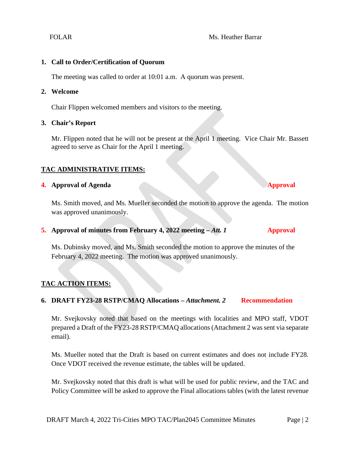#### FOLAR Ms. Heather Barrar

#### **1. Call to Order/Certification of Quorum**

The meeting was called to order at 10:01 a.m. A quorum was present.

#### **2. Welcome**

Chair Flippen welcomed members and visitors to the meeting.

#### **3. Chair's Report**

Mr. Flippen noted that he will not be present at the April 1 meeting. Vice Chair Mr. Bassett agreed to serve as Chair for the April 1 meeting.

#### **TAC ADMINISTRATIVE ITEMS:**

#### **4. Approval of Agenda Approval**

Ms. Smith moved, and Ms. Mueller seconded the motion to approve the agenda. The motion was approved unanimously.

#### **5. Approval of minutes from February 4, 2022 meeting –** *Att. 1* **Approval**

Ms. Dubinsky moved, and Ms. Smith seconded the motion to approve the minutes of the February 4, 2022 meeting. The motion was approved unanimously.

#### **TAC ACTION ITEMS:**

#### **6. DRAFT FY23-28 RSTP/CMAQ Allocations –** *Attachment. 2* **Recommendation**

Mr. Svejkovsky noted that based on the meetings with localities and MPO staff, VDOT prepared a Draft of the FY23-28 RSTP/CMAQ allocations (Attachment 2 was sent via separate email).

Ms. Mueller noted that the Draft is based on current estimates and does not include FY28. Once VDOT received the revenue estimate, the tables will be updated.

Mr. Svejkovsky noted that this draft is what will be used for public review, and the TAC and Policy Committee will be asked to approve the Final allocations tables (with the latest revenue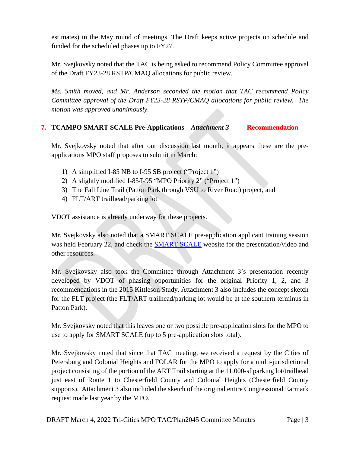estimates) in the May round of meetings. The Draft keeps active projects on schedule and funded for the scheduled phases up to FY27.

Mr. Svejkovsky noted that the TAC is being asked to recommend Policy Committee approval of the Draft FY23-28 RSTP/CMAQ allocations for public review.

*Ms. Smith moved, and Mr. Anderson seconded the motion that TAC recommend Policy Committee approval of the Draft FY23-28 RSTP/CMAQ allocations for public review. The motion was approved unanimously.*

#### **7. TCAMPO SMART SCALE Pre-Applications –** *Attachment 3* **Recommendation**

Mr. Svejkovsky noted that after our discussion last month, it appears these are the preapplications MPO staff proposes to submit in March:

- 1) A simplified I-85 NB to I-95 SB project ("Project 1")
- 2) A slightly modified I-85/I-95 "MPO Priority 2" ("Project 1")
- 3) The Fall Line Trail (Patton Park through VSU to River Road) project, and
- 4) FLT/ART trailhead/parking lot

VDOT assistance is already underway for these projects.

Mr. Svejkovsky also noted that a SMART SCALE pre-application applicant training session was held February 22, and check the **SMART SCALE** website for the presentation/video and other resources.

Mr. Svejkovsky also took the Committee through Attachment 3's presentation recently developed by VDOT of phasing opportunities for the original Priority 1, 2, and 3 recommendations in the 2015 Kittleson Study. Attachment 3 also includes the concept sketch for the FLT project (the FLT/ART trailhead/parking lot would be at the southern terminus in Patton Park).

Mr. Svejkovsky noted that this leaves one or two possible pre-application slots for the MPO to use to apply for SMART SCALE (up to 5 pre-application slots total).

Mr. Svejkovsky noted that since that TAC meeting, we received a request by the Cities of Petersburg and Colonial Heights and FOLAR for the MPO to apply for a multi-jurisdictional project consisting of the portion of the ART Trail starting at the 11,000-sf parking lot/trailhead just east of Route 1 to Chesterfield County and Colonial Heights (Chesterfield County supports). Attachment 3 also included the sketch of the original entire Congressional Earmark request made last year by the MPO.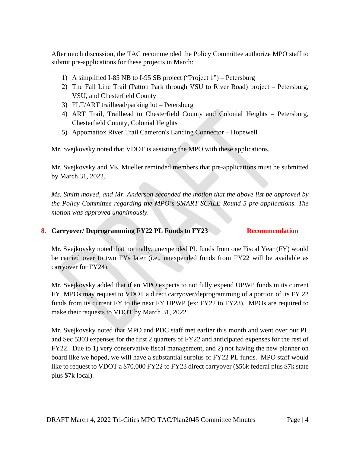After much discussion, the TAC recommended the Policy Committee authorize MPO staff to submit pre-applications for these projects in March:

- 1) A simplified I-85 NB to I-95 SB project ("Project 1") Petersburg
- 2) The Fall Line Trail (Patton Park through VSU to River Road) project Petersburg, VSU, and Chesterfield County
- 3) FLT/ART trailhead/parking lot Petersburg
- 4) ART Trail, Trailhead to Chesterfield County and Colonial Heights Petersburg, Chesterfield County, Colonial Heights
- 5) Appomattox River Trail Cameron's Landing Connector Hopewell

Mr. Svejkovsky noted that VDOT is assisting the MPO with these applications.

Mr. Svejkovsky and Ms. Mueller reminded members that pre-applications must be submitted by March 31, 2022.

*Ms. Smith moved, and Mr. Anderson seconded the motion that the above list be approved by the Policy Committee regarding the MPO's SMART SCALE Round 5 pre-applications. The motion was approved unanimously.*

### **8. Carryover/ Deprogramming FY22 PL Funds to FY23 Recommendation**

Mr. Svejkovsky noted that normally, unexpended PL funds from one Fiscal Year (FY) would be carried over to two FYs later (i.e., unexpended funds from FY22 will be available as carryover for FY24).

Mr. Svejkovsky added that if an MPO expects to not fully expend UPWP funds in its current FY, MPOs may request to VDOT a direct carryover/deprogramming of a portion of its FY 22 funds from its current FY to the next FY UPWP (ex: FY22 to FY23). MPOs are required to make their requests to VDOT by March 31, 2022.

Mr. Svejkovsky noted that MPO and PDC staff met earlier this month and went over our PL and Sec 5303 expenses for the first 2 quarters of FY22 and anticipated expenses for the rest of FY22. Due to 1) very conservative fiscal management, and 2) not having the new planner on board like we hoped, we will have a substantial surplus of FY22 PL funds. MPO staff would like to request to VDOT a \$70,000 FY22 to FY23 direct carryover (\$56k federal plus \$7k state plus \$7k local).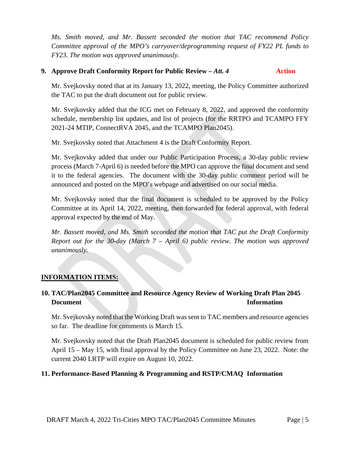*Ms. Smith moved, and Mr. Bassett seconded the motion that TAC recommend Policy Committee approval of the MPO's carryover/deprogramming request of FY22 PL funds to FY23. The motion was approved unanimously.*

#### **9. Approve Draft Conformity Report for Public Review –** *Att. 4* **Action**

Mr. Svejkovsky noted that at its January 13, 2022, meeting, the Policy Committee authorized the TAC to put the draft document out for public review.

Mr. Svejkovsky added that the ICG met on February 8, 2022, and approved the conformity schedule, membership list updates, and list of projects (for the RRTPO and TCAMPO FFY 2021-24 MTIP, ConnectRVA 2045, and the TCAMPO Plan2045).

Mr. Svejkovsky noted that Attachment 4 is the Draft Conformity Report.

Mr. Svejkovsky added that under our Public Participation Process, a 30-day public review process (March 7-April 6) is needed before the MPO can approve the final document and send it to the federal agencies. The document with the 30-day public comment period will be announced and posted on the MPO's webpage and advertised on our social media.

Mr. Svejkovsky noted that the final document is scheduled to be approved by the Policy Committee at its April 14, 2022, meeting, then forwarded for federal approval, with federal approval expected by the end of May.

*Mr. Bassett moved, and Ms. Smith seconded the motion that TAC put the Draft Conformity Report out for the 30-day (March 7 – April 6) public review. The motion was approved unanimously.*

#### **INFORMATION ITEMS:**

# **10. TAC/Plan2045 Committee and Resource Agency Review of Working Draft Plan 2045 Document Information**

Mr. Svejkovsky noted that the Working Draft was sent to TAC members and resource agencies so far. The deadline for comments is March 15.

Mr. Svejkovsky noted that the Draft Plan2045 document is scheduled for public review from April 15 – May 15, with final approval by the Policy Committee on June 23, 2022. Note: the current 2040 LRTP will expire on August 10, 2022.

#### **11. Performance-Based Planning & Programming and RSTP/CMAQ Information**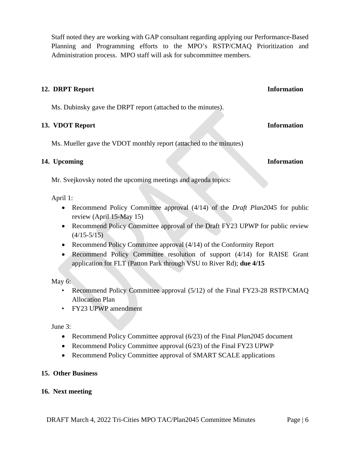Staff noted they are working with GAP consultant regarding applying our Performance-Based Planning and Programming efforts to the MPO's RSTP/CMAQ Prioritization and Administration process. MPO staff will ask for subcommittee members.

#### **12. DRPT Report Information**

Ms. Dubinsky gave the DRPT report (attached to the minutes).

#### **13. VDOT Report Information**

Ms. Mueller gave the VDOT monthly report (attached to the minutes)

#### **14. Upcoming Information**

Mr. Svejkovsky noted the upcoming meetings and agenda topics:

April 1:

- Recommend Policy Committee approval (4/14) of the *Draft Plan2045* for public review (April 15-May 15)
- Recommend Policy Committee approval of the Draft FY23 UPWP for public review  $(4/15-5/15)$
- Recommend Policy Committee approval (4/14) of the Conformity Report
- Recommend Policy Committee resolution of support (4/14) for RAISE Grant application for FLT (Patton Park through VSU to River Rd); **due 4/15**

May 6:

- Recommend Policy Committee approval (5/12) of the Final FY23-28 RSTP/CMAQ Allocation Plan
- FY23 UPWP amendment

June 3:

- Recommend Policy Committee approval (6/23) of the Final *Plan2045* document
- Recommend Policy Committee approval (6/23) of the Final FY23 UPWP
- Recommend Policy Committee approval of SMART SCALE applications

#### **15. Other Business**

#### **16. Next meeting**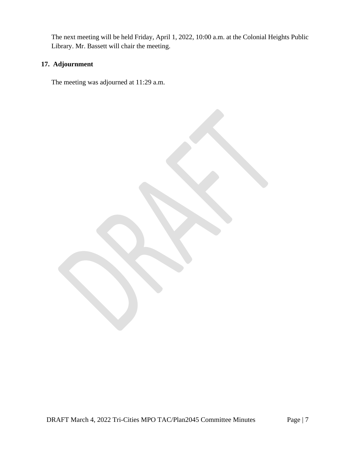The next meeting will be held Friday, April 1, 2022, 10:00 a.m. at the Colonial Heights Public Library. Mr. Bassett will chair the meeting.

## **17. Adjournment**

The meeting was adjourned at 11:29 a.m.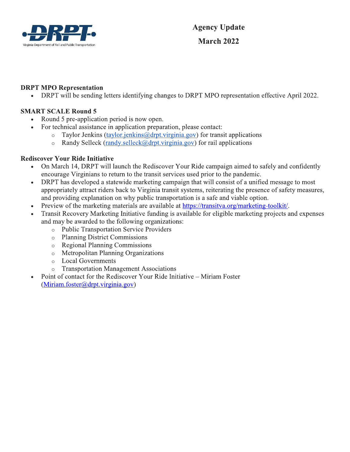

#### **DRPT MPO Representation**

DRPT will be sending letters identifying changes to DRPT MPO representation effective April 2022.  $\bullet$ 

#### **SMART SCALE Round 5**

 $\bullet$ 

- Round 5 pre-application period is now open.  $\bullet$ 
	- For technical assistance in application preparation, please contact:
		- $\circ$ Taylor Jenkins (taylor.jenkins@drpt.virginia.gov) for transit applications
		- Randy Selleck (randy selleck  $\omega$  drpt virginia gov) for rail applications  $\circ$

#### **Rediscover Your Ride Initiative**

- On March 14, DRPT will launch the Rediscover Your Ride campaign aimed to safely and confidently  $\bullet$ encourage Virginians to return to the transit services used prior to the pandemic.
- DRPT has developed a statewide marketing campaign that will consist of a unified message to most appropriately attract riders back to Virginia transit systems, reiterating the presence of safety measures, and providing explanation on why public transportation is a safe and viable option.
- Preview of the marketing materials are available at https://transitva.org/marketing-toolkit/.  $\bullet$
- Transit Recovery Marketing Initiative funding is available for eligible marketing projects and expenses and may be awarded to the following organizations:
	- o Public Transportation Service Providers
	- o Planning District Commissions
	- o Regional Planning Commissions
	- o Metropolitan Planning Organizations
	- **Local Governments**  $\circ$
	- **Transportation Management Associations**  $\circ$
- Point of contact for the Rediscover Your Ride Initiative Miriam Foster  $\bullet$  $(Miriam.foster@drpt.virginia.gov)$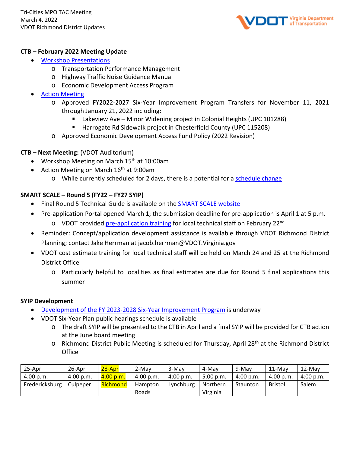

#### **CTB – February 2022 Meeting Update**

- [Workshop Presentations](https://www.ctb.virginia.gov/resources/2022/feb/ctb_workshop_meeting_feb_2022_1.pdf)
	- o Transportation Performance Management
	- o Highway Traffic Noise Guidance Manual
	- o Economic Development Access Program
- **[Action Meeting](https://www.ctb.virginia.gov/resources/2022/feb/ctb_action_meeting_feb_2022.pdf)** 
	- o Approved FY2022-2027 Six-Year Improvement Program Transfers for November 11, 2021 through January 21, 2022 including:
		- Lakeview Ave Minor Widening project in Colonial Heights (UPC 101288)
		- Harrogate Rd Sidewalk project in Chesterfield County (UPC 115208)
	- o Approved Economic Development Access Fund Policy (2022 Revision)

#### **CTB – Next Meeting:** (VDOT Auditorium)

- Workshop Meeting on March 15<sup>th</sup> at 10:00am
- Action Meeting on March  $16<sup>th</sup>$  at 9:00am
	- o While currently scheduled for 2 days, there is a potential for a [schedule change](https://www.ctb.virginia.gov/public_meetings/schedule_overview/default.asp)

#### **SMART SCALE – Round 5 (FY22 – FY27 SYIP)**

- Final Round 5 Technical Guide is available on the [SMART SCALE website](http://smartscale.org/default.asp)
- Pre-application Portal opened March 1; the submission deadline for pre-application is April 1 at 5 p.m.
	- o VDOT provided [pre-application training](http://smartscale.org/apply/default.asp) for local technical staff on February 22<sup>nd</sup>
- Reminder: Concept/application development assistance is available through VDOT Richmond District Planning; contact Jake Herrman at jacob.herrman@VDOT.Virginia.gov
- VDOT cost estimate training for local technical staff will be held on March 24 and 25 at the Richmond District Office
	- o Particularly helpful to localities as final estimates are due for Round 5 final applications this summer

#### **SYIP Development**

- [Development of the FY 2023-2028 Six-Year Improvement Program](https://www.ctb.virginia.gov/planning/springmeetings2022/default.asp) is underway
- VDOT Six-Year Plan public hearings schedule is available
	- o The draft SYIP will be presented to the CTB in April and a final SYIP will be provided for CTB action at the June board meeting
	- o Richmond District Public Meeting is scheduled for Thursday, April 28<sup>th</sup> at the Richmond District **Office**

| 25-Apr         | 26-Apr    | 28-Apr      | 2-May     | 3-May     | 4-May     | 9-May     | $11-Mav$       | $12$ -May |
|----------------|-----------|-------------|-----------|-----------|-----------|-----------|----------------|-----------|
| 4:00 p.m.      | 4:00 p.m. | $4:00$ p.m. | 4:00 p.m. | 4:00 p.m. | 5:00 p.m. | 4:00 p.m. | 4:00 p.m.      | 4:00 p.m. |
| Fredericksburg | Culpeper  | Richmond    | Hampton   | Lynchburg | Northern  | Staunton  | <b>Bristol</b> | Salem     |
|                |           |             | Roads     |           | Virginia  |           |                |           |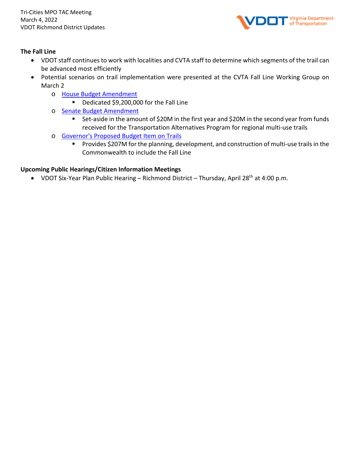

#### **The Fall Line**

- VDOT staff continues to work with localities and CVTA staff to determine which segments of the trail can be advanced most efficiently
- Potential scenarios on trail implementation were presented at the CVTA Fall Line Working Group on March 2
	- o [House Budget Amendment](https://budget.lis.virginia.gov/amendment/2022/1/HB30/Introduced/FA/452/1h/)
		- Dedicated \$9,200,000 for the Fall Line
	- o [Senate Budget Amendment](https://budget.lis.virginia.gov/amendment/2022/1/SB30/Introduced/FA/452/1s/)
		- Set-aside in the amount of \$20M in the first year and \$20M in the second year from funds received for the Transportation Alternatives Program for regional multi-use trails
	- o [Governor's Proposed Budget Item on Trails](https://budget.lis.virginia.gov/item/2022/1/HB30/Introduced/1/452/)
		- **Provides \$207M for the planning, development, and construction of multi-use trails in the** Commonwealth to include the Fall Line

#### **Upcoming Public Hearings/Citizen Information Meetings**

• VDOT Six-Year Plan Public Hearing – Richmond District – Thursday, April 28<sup>th</sup> at 4:00 p.m.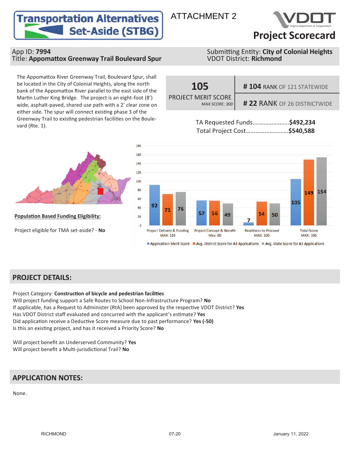# **Transportation Alternatives Set-Aside (STBG)** Project Scorecard



#### App ID: **7994**<br>
Title: **Appomattox Greenway Trail Boulevard Spur** Submitting Entity: **City of Colonial Heights**<br>
VDOT District: Richmond **Title: Appomattox Greenway Trail Boulevard Spur**

The Appomattox River Greenway Trail, Boulevard Spur, shall be located in the City of Colonial Heights, along the north bank of the Appomattox River parallel to the east side of the Martin Luther King Bridge. The project is an eight-foot (8') wide, asphalt-paved, shared use path with a 2' clear zone on either side. The spur will connect existing phase 3 of the Greenway Trail to existing pedestrian facilities on the Boulevard (Rte. 1).









**Population Based Funding Eligibility:** 

Project eligible for TMA set-aside? - **No**



### **PROJECT DETAILS:**

**Project Category: Construction of bicycle and pedestrian facilities** Will project funding support a Safe Routes to School Non-Infrastructure Program? **No** If applicable, has a Request to Administer (RtA) been approved by the respective VDOT District? Yes Has VDOT District staff evaluated and concurred with the applicant's estimate? Yes Did application receive a Deductive Score measure due to past performance? Yes (-50) Is this an exisƟng project, and has it received a Priority Score? **No**

Will project benefit an Underserved Community? **Yes** Will project benefit a MulƟ-jurisdicƟonal Trail? **No**

# **APPLICATION NOTES:**

None.